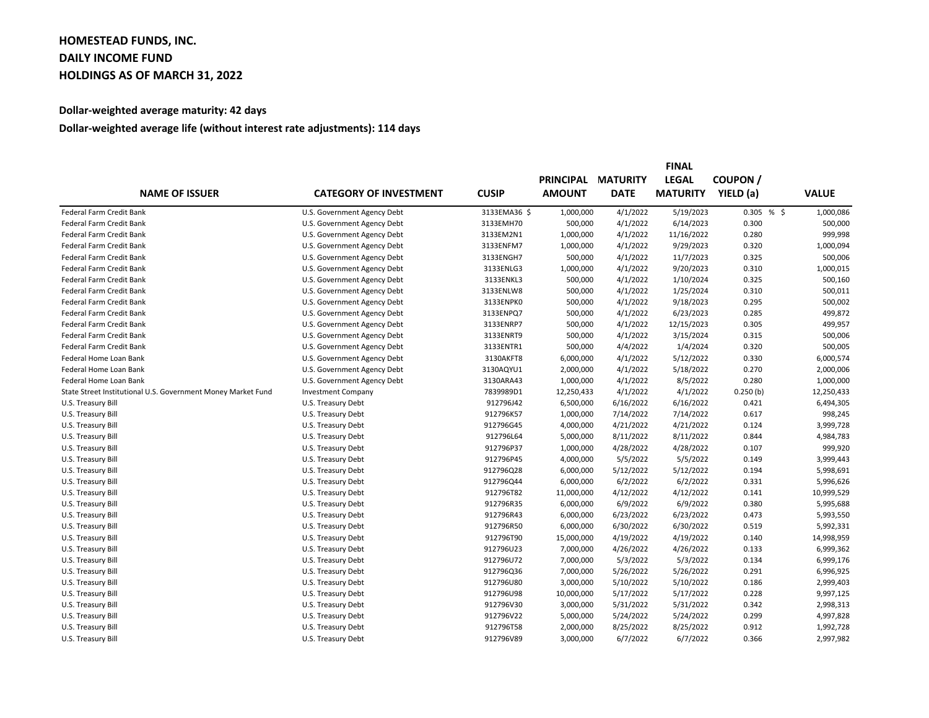## **HOMESTEAD FUNDS, INC. DAILY INCOME FUND HOLDINGS AS OF MARCH 31, 2022**

## **Dollar-weighted average maturity: 42 days**

## **Dollar-weighted average life (without interest rate adjustments): 114 days**

|                                                              | <b>CATEGORY OF INVESTMENT</b> |              | <b>FINAL</b>     |                 |                 |               |              |
|--------------------------------------------------------------|-------------------------------|--------------|------------------|-----------------|-----------------|---------------|--------------|
| <b>NAME OF ISSUER</b>                                        |                               | <b>CUSIP</b> | <b>PRINCIPAL</b> | <b>MATURITY</b> | <b>LEGAL</b>    | <b>COUPON</b> |              |
|                                                              |                               |              | <b>AMOUNT</b>    | <b>DATE</b>     | <b>MATURITY</b> | YIELD (a)     | <b>VALUE</b> |
| Federal Farm Credit Bank                                     | U.S. Government Agency Debt   | 3133EMA36 \$ | 1,000,000        | 4/1/2022        | 5/19/2023       | 0.305%        | 1,000,086    |
| Federal Farm Credit Bank                                     | U.S. Government Agency Debt   | 3133EMH70    | 500,000          | 4/1/2022        | 6/14/2023       | 0.300         | 500,000      |
| Federal Farm Credit Bank                                     | U.S. Government Agency Debt   | 3133EM2N1    | 1,000,000        | 4/1/2022        | 11/16/2022      | 0.280         | 999,998      |
| <b>Federal Farm Credit Bank</b>                              | U.S. Government Agency Debt   | 3133ENFM7    | 1,000,000        | 4/1/2022        | 9/29/2023       | 0.320         | 1,000,094    |
| Federal Farm Credit Bank                                     | U.S. Government Agency Debt   | 3133ENGH7    | 500,000          | 4/1/2022        | 11/7/2023       | 0.325         | 500,006      |
| Federal Farm Credit Bank                                     | U.S. Government Agency Debt   | 3133ENLG3    | 1,000,000        | 4/1/2022        | 9/20/2023       | 0.310         | 1,000,015    |
| Federal Farm Credit Bank                                     | U.S. Government Agency Debt   | 3133ENKL3    | 500,000          | 4/1/2022        | 1/10/2024       | 0.325         | 500,160      |
| Federal Farm Credit Bank                                     | U.S. Government Agency Debt   | 3133ENLW8    | 500,000          | 4/1/2022        | 1/25/2024       | 0.310         | 500,011      |
| Federal Farm Credit Bank                                     | U.S. Government Agency Debt   | 3133ENPK0    | 500,000          | 4/1/2022        | 9/18/2023       | 0.295         | 500,002      |
| Federal Farm Credit Bank                                     | U.S. Government Agency Debt   | 3133ENPQ7    | 500,000          | 4/1/2022        | 6/23/2023       | 0.285         | 499,872      |
| Federal Farm Credit Bank                                     | U.S. Government Agency Debt   | 3133ENRP7    | 500,000          | 4/1/2022        | 12/15/2023      | 0.305         | 499,957      |
| Federal Farm Credit Bank                                     | U.S. Government Agency Debt   | 3133ENRT9    | 500,000          | 4/1/2022        | 3/15/2024       | 0.315         | 500,006      |
| Federal Farm Credit Bank                                     | U.S. Government Agency Debt   | 3133ENTR1    | 500,000          | 4/4/2022        | 1/4/2024        | 0.320         | 500,005      |
| Federal Home Loan Bank                                       | U.S. Government Agency Debt   | 3130AKFT8    | 6,000,000        | 4/1/2022        | 5/12/2022       | 0.330         | 6,000,574    |
| Federal Home Loan Bank                                       | U.S. Government Agency Debt   | 3130AQYU1    | 2,000,000        | 4/1/2022        | 5/18/2022       | 0.270         | 2,000,006    |
| Federal Home Loan Bank                                       | U.S. Government Agency Debt   | 3130ARA43    | 1,000,000        | 4/1/2022        | 8/5/2022        | 0.280         | 1,000,000    |
| State Street Institutional U.S. Government Money Market Fund | <b>Investment Company</b>     | 7839989D1    | 12,250,433       | 4/1/2022        | 4/1/2022        | 0.250(b)      | 12,250,433   |
| U.S. Treasury Bill                                           | U.S. Treasury Debt            | 912796J42    | 6,500,000        | 6/16/2022       | 6/16/2022       | 0.421         | 6,494,305    |
| U.S. Treasury Bill                                           | U.S. Treasury Debt            | 912796K57    | 1,000,000        | 7/14/2022       | 7/14/2022       | 0.617         | 998,245      |
| U.S. Treasury Bill                                           | U.S. Treasury Debt            | 912796G45    | 4,000,000        | 4/21/2022       | 4/21/2022       | 0.124         | 3,999,728    |
| U.S. Treasury Bill                                           | U.S. Treasury Debt            | 912796L64    | 5,000,000        | 8/11/2022       | 8/11/2022       | 0.844         | 4,984,783    |
| U.S. Treasury Bill                                           | U.S. Treasury Debt            | 912796P37    | 1,000,000        | 4/28/2022       | 4/28/2022       | 0.107         | 999,920      |
| U.S. Treasury Bill                                           | U.S. Treasury Debt            | 912796P45    | 4,000,000        | 5/5/2022        | 5/5/2022        | 0.149         | 3,999,443    |
| U.S. Treasury Bill                                           | U.S. Treasury Debt            | 912796Q28    | 6,000,000        | 5/12/2022       | 5/12/2022       | 0.194         | 5,998,691    |
| U.S. Treasury Bill                                           | U.S. Treasury Debt            | 912796Q44    | 6,000,000        | 6/2/2022        | 6/2/2022        | 0.331         | 5,996,626    |
| U.S. Treasury Bill                                           | U.S. Treasury Debt            | 912796T82    | 11,000,000       | 4/12/2022       | 4/12/2022       | 0.141         | 10,999,529   |
| U.S. Treasury Bill                                           | U.S. Treasury Debt            | 912796R35    | 6,000,000        | 6/9/2022        | 6/9/2022        | 0.380         | 5,995,688    |
| U.S. Treasury Bill                                           | U.S. Treasury Debt            | 912796R43    | 6,000,000        | 6/23/2022       | 6/23/2022       | 0.473         | 5,993,550    |
| U.S. Treasury Bill                                           | U.S. Treasury Debt            | 912796R50    | 6,000,000        | 6/30/2022       | 6/30/2022       | 0.519         | 5,992,331    |
| U.S. Treasury Bill                                           | U.S. Treasury Debt            | 912796T90    | 15,000,000       | 4/19/2022       | 4/19/2022       | 0.140         | 14,998,959   |
| U.S. Treasury Bill                                           | U.S. Treasury Debt            | 912796U23    | 7,000,000        | 4/26/2022       | 4/26/2022       | 0.133         | 6,999,362    |
| U.S. Treasury Bill                                           | U.S. Treasury Debt            | 912796U72    | 7,000,000        | 5/3/2022        | 5/3/2022        | 0.134         | 6,999,176    |
| U.S. Treasury Bill                                           | U.S. Treasury Debt            | 912796Q36    | 7,000,000        | 5/26/2022       | 5/26/2022       | 0.291         | 6,996,925    |
| U.S. Treasury Bill                                           | U.S. Treasury Debt            | 912796U80    | 3,000,000        | 5/10/2022       | 5/10/2022       | 0.186         | 2,999,403    |
| U.S. Treasury Bill                                           | U.S. Treasury Debt            | 912796U98    | 10,000,000       | 5/17/2022       | 5/17/2022       | 0.228         | 9,997,125    |
| U.S. Treasury Bill                                           | U.S. Treasury Debt            | 912796V30    | 3,000,000        | 5/31/2022       | 5/31/2022       | 0.342         | 2,998,313    |
| U.S. Treasury Bill                                           | U.S. Treasury Debt            | 912796V22    | 5,000,000        | 5/24/2022       | 5/24/2022       | 0.299         | 4,997,828    |
| U.S. Treasury Bill                                           | U.S. Treasury Debt            | 912796T58    | 2,000,000        | 8/25/2022       | 8/25/2022       | 0.912         | 1,992,728    |
| U.S. Treasury Bill                                           | U.S. Treasury Debt            | 912796V89    | 3,000,000        | 6/7/2022        | 6/7/2022        | 0.366         | 2,997,982    |